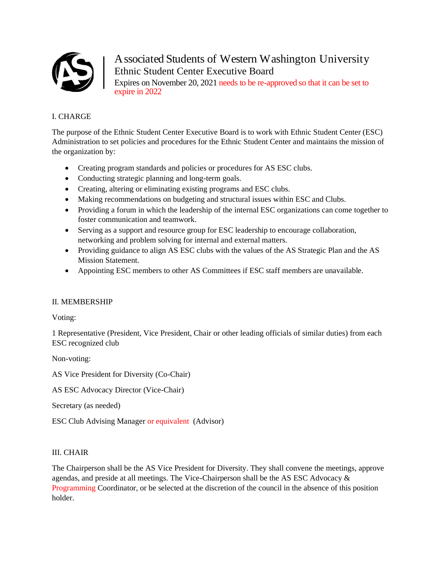

Associated Students of Western Washington University Ethnic Student Center Executive Board Expires on November 20, 2021 needs to be re-approved so that it can be set to expire in 2022

# I. CHARGE

The purpose of the Ethnic Student Center Executive Board is to work with Ethnic Student Center (ESC) Administration to set policies and procedures for the Ethnic Student Center and maintains the mission of the organization by:

- Creating program standards and policies or procedures for AS ESC clubs.
- Conducting strategic planning and long-term goals.
- Creating, altering or eliminating existing programs and ESC clubs.
- Making recommendations on budgeting and structural issues within ESC and Clubs.
- Providing a forum in which the leadership of the internal ESC organizations can come together to foster communication and teamwork.
- Serving as a support and resource group for ESC leadership to encourage collaboration, networking and problem solving for internal and external matters.
- Providing guidance to align AS ESC clubs with the values of the AS Strategic Plan and the AS Mission Statement.
- Appointing ESC members to other AS Committees if ESC staff members are unavailable.

## II. MEMBERSHIP

Voting:

1 Representative (President, Vice President, Chair or other leading officials of similar duties) from each ESC recognized club

Non-voting:

AS Vice President for Diversity (Co-Chair)

AS ESC Advocacy Director (Vice-Chair)

Secretary (as needed)

ESC Club Advising Manager or equivalent (Advisor)

## III. CHAIR

The Chairperson shall be the AS Vice President for Diversity. They shall convene the meetings, approve agendas, and preside at all meetings. The Vice-Chairperson shall be the AS ESC Advocacy & Programming Coordinator, or be selected at the discretion of the council in the absence of this position holder.